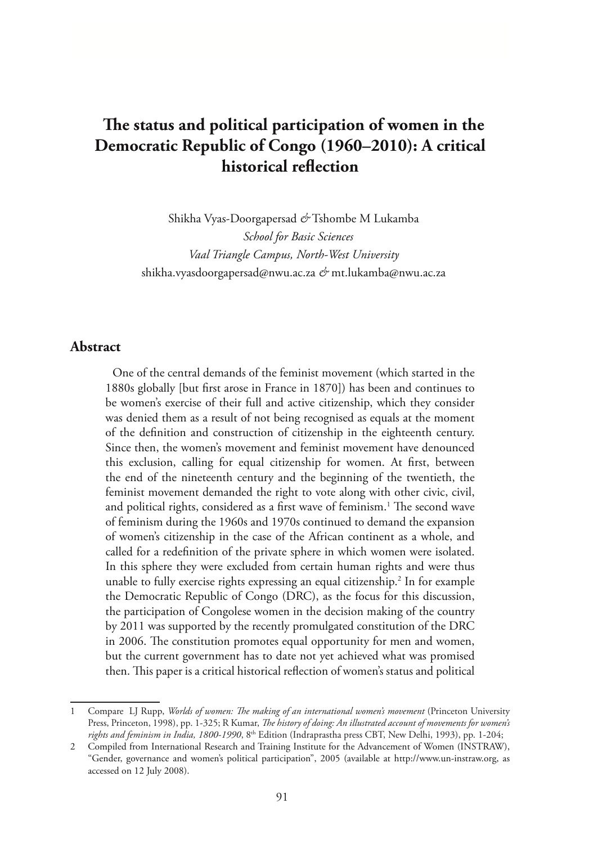# **The status and political participation of women in the Democratic Republic of Congo (1960–2010): A critical historical reflection**

Shikha Vyas-Doorgapersad *&* Tshombe M Lukamba *School for Basic Sciences Vaal Triangle Campus, North-West University* shikha.vyasdoorgapersad@nwu.ac.za *&* mt.lukamba@nwu.ac.za

### **Abstract**

One of the central demands of the feminist movement (which started in the 1880s globally [but first arose in France in 1870]) has been and continues to be women's exercise of their full and active citizenship, which they consider was denied them as a result of not being recognised as equals at the moment of the definition and construction of citizenship in the eighteenth century. Since then, the women's movement and feminist movement have denounced this exclusion, calling for equal citizenship for women. At first, between the end of the nineteenth century and the beginning of the twentieth, the feminist movement demanded the right to vote along with other civic, civil, and political rights, considered as a first wave of feminism.<sup>1</sup> The second wave of feminism during the 1960s and 1970s continued to demand the expansion of women's citizenship in the case of the African continent as a whole, and called for a redefinition of the private sphere in which women were isolated. In this sphere they were excluded from certain human rights and were thus unable to fully exercise rights expressing an equal citizenship.<sup>2</sup> In for example the Democratic Republic of Congo (DRC), as the focus for this discussion, the participation of Congolese women in the decision making of the country by 2011 was supported by the recently promulgated constitution of the DRC in 2006. The constitution promotes equal opportunity for men and women, but the current government has to date not yet achieved what was promised then. This paper is a critical historical reflection of women's status and political

<sup>1</sup> Compare LJ Rupp, *Worlds of women: The making of an international women's movement* (Princeton University Press, Princeton, 1998), pp. 1-325; R Kumar, *The history of doing: An illustrated account of movements for women's rights and feminism in India, 1800-1990*, 8<sup>th</sup> Edition (Indraprastha press CBT, New Delhi, 1993), pp. 1-204;

<sup>2</sup> Compiled from International Research and Training Institute for the Advancement of Women (INSTRAW), "Gender, governance and women's political participation", 2005 (available at http://www.un-instraw.org, as accessed on 12 July 2008).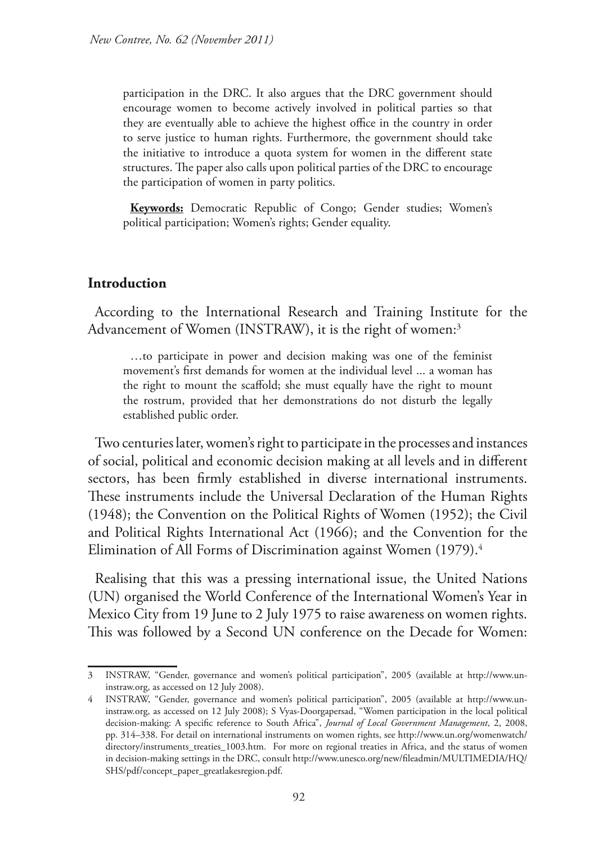participation in the DRC. It also argues that the DRC government should encourage women to become actively involved in political parties so that they are eventually able to achieve the highest office in the country in order to serve justice to human rights. Furthermore, the government should take the initiative to introduce a quota system for women in the different state structures. The paper also calls upon political parties of the DRC to encourage the participation of women in party politics.

**Keywords:** Democratic Republic of Congo; Gender studies; Women's political participation; Women's rights; Gender equality.

## **Introduction**

According to the International Research and Training Institute for the Advancement of Women (INSTRAW), it is the right of women: $^3$ 

…to participate in power and decision making was one of the feminist movement's first demands for women at the individual level ... a woman has the right to mount the scaffold; she must equally have the right to mount the rostrum, provided that her demonstrations do not disturb the legally established public order.

Two centuries later, women's right to participate in the processes and instances of social, political and economic decision making at all levels and in different sectors, has been firmly established in diverse international instruments. These instruments include the Universal Declaration of the Human Rights (1948); the Convention on the Political Rights of Women (1952); the Civil and Political Rights International Act (1966); and the Convention for the Elimination of All Forms of Discrimination against Women (1979).<sup>4</sup>

Realising that this was a pressing international issue, the United Nations (UN) organised the World Conference of the International Women's Year in Mexico City from 19 June to 2 July 1975 to raise awareness on women rights. This was followed by a Second UN conference on the Decade for Women:

<sup>3</sup> INSTRAW, "Gender, governance and women's political participation", 2005 (available at http://www.uninstraw.org, as accessed on 12 July 2008).

<sup>4</sup> INSTRAW, "Gender, governance and women's political participation", 2005 (available at http://www.uninstraw.org, as accessed on 12 July 2008); S Vyas-Doorgapersad, "Women participation in the local political decision-making: A specific reference to South Africa", *Journal of Local Government Management*, 2, 2008, pp. 314–338. For detail on international instruments on women rights, see http://www.un.org/womenwatch/ directory/instruments\_treaties\_1003.htm. For more on regional treaties in Africa, and the status of women in decision-making settings in the DRC, consult http://www.unesco.org/new/fileadmin/MULTIMEDIA/HQ/ SHS/pdf/concept\_paper\_greatlakesregion.pdf.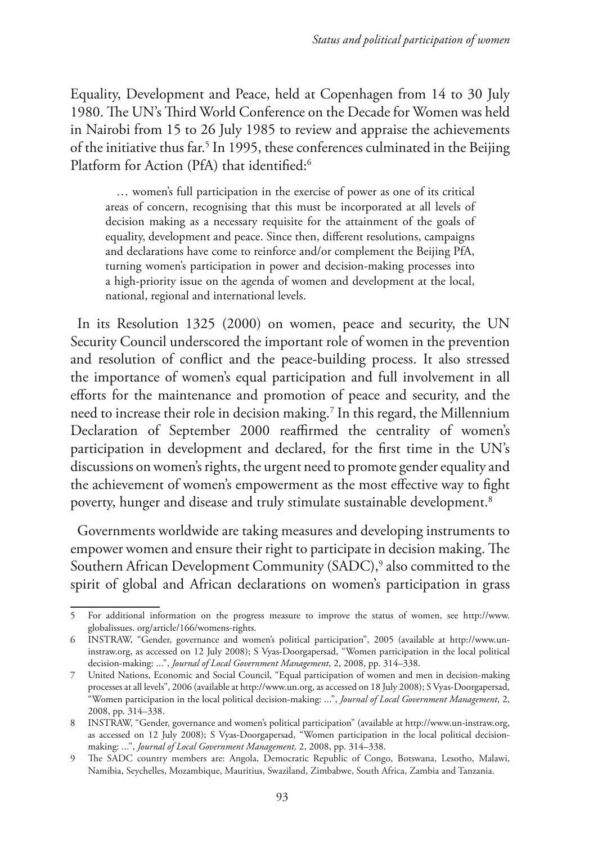Equality, Development and Peace, held at Copenhagen from 14 to 30 July 1980. The UN's Third World Conference on the Decade for Women was held in Nairobi from 15 to 26 July 1985 to review and appraise the achievements of the initiative thus far.<sup>5</sup> In 1995, these conferences culminated in the Beijing Platform for Action (PfA) that identified:<sup>6</sup>

 … women's full participation in the exercise of power as one of its critical areas of concern, recognising that this must be incorporated at all levels of decision making as a necessary requisite for the attainment of the goals of equality, development and peace. Since then, different resolutions, campaigns and declarations have come to reinforce and/or complement the Beijing PfA, turning women's participation in power and decision-making processes into a high-priority issue on the agenda of women and development at the local, national, regional and international levels.

In its Resolution 1325 (2000) on women, peace and security, the UN Security Council underscored the important role of women in the prevention and resolution of conflict and the peace-building process. It also stressed the importance of women's equal participation and full involvement in all efforts for the maintenance and promotion of peace and security, and the need to increase their role in decision making.7 In this regard, the Millennium Declaration of September 2000 reaffirmed the centrality of women's participation in development and declared, for the first time in the UN's discussions on women's rights, the urgent need to promote gender equality and the achievement of women's empowerment as the most effective way to fight poverty, hunger and disease and truly stimulate sustainable development.8

Governments worldwide are taking measures and developing instruments to empower women and ensure their right to participate in decision making. The Southern African Development Community (SADC),9 also committed to the spirit of global and African declarations on women's participation in grass

<sup>5</sup> For additional information on the progress measure to improve the status of women, see http://www. globalissues. org/article/166/womens-rights.

<sup>6</sup> INSTRAW, "Gender, governance and women's political participation", 2005 (available at http://www.uninstraw.org, as accessed on 12 July 2008); S Vyas-Doorgapersad, "Women participation in the local political decision-making: ...", *Journal of Local Government Management*, 2, 2008, pp. 314–338.

<sup>7</sup> United Nations, Economic and Social Council, "Equal participation of women and men in decision-making processes at all levels", 2006 (available at http://www.un.org, as accessed on 18 July 2008); S Vyas-Doorgapersad, "Women participation in the local political decision-making: ...", *Journal of Local Government Management*, 2, 2008, pp. 314–338.

<sup>8</sup> INSTRAW, "Gender, governance and women's political participation" (available at http://www.un-instraw.org, as accessed on 12 July 2008); S Vyas-Doorgapersad, "Women participation in the local political decisionmaking: ...", *Journal of Local Government Management,* 2, 2008, pp. 314–338.

<sup>9</sup> The SADC country members are: Angola, Democratic Republic of Congo, Botswana, Lesotho, Malawi, Namibia, Seychelles, Mozambique, Mauritius, Swaziland, Zimbabwe, South Africa, Zambia and Tanzania.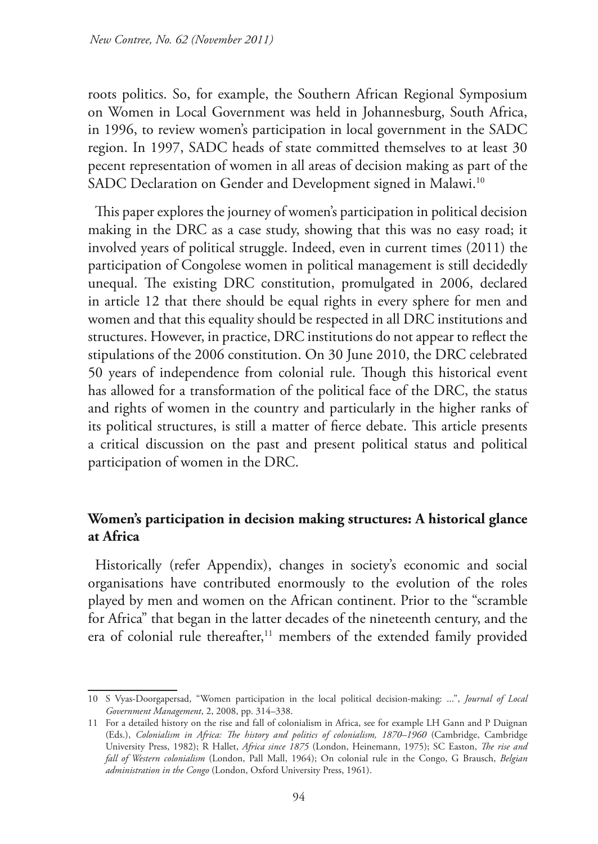roots politics. So, for example, the Southern African Regional Symposium on Women in Local Government was held in Johannesburg, South Africa, in 1996, to review women's participation in local government in the SADC region. In 1997, SADC heads of state committed themselves to at least 30 pecent representation of women in all areas of decision making as part of the SADC Declaration on Gender and Development signed in Malawi.<sup>10</sup>

This paper explores the journey of women's participation in political decision making in the DRC as a case study, showing that this was no easy road; it involved years of political struggle. Indeed, even in current times (2011) the participation of Congolese women in political management is still decidedly unequal. The existing DRC constitution, promulgated in 2006, declared in article 12 that there should be equal rights in every sphere for men and women and that this equality should be respected in all DRC institutions and structures. However, in practice, DRC institutions do not appear to reflect the stipulations of the 2006 constitution. On 30 June 2010, the DRC celebrated 50 years of independence from colonial rule. Though this historical event has allowed for a transformation of the political face of the DRC, the status and rights of women in the country and particularly in the higher ranks of its political structures, is still a matter of fierce debate. This article presents a critical discussion on the past and present political status and political participation of women in the DRC.

# **Women's participation in decision making structures: A historical glance at Africa**

Historically (refer Appendix), changes in society's economic and social organisations have contributed enormously to the evolution of the roles played by men and women on the African continent. Prior to the "scramble for Africa" that began in the latter decades of the nineteenth century, and the era of colonial rule thereafter,<sup>11</sup> members of the extended family provided

<sup>10</sup> S Vyas-Doorgapersad, "Women participation in the local political decision-making: ...", *Journal of Local Government Management*, 2, 2008, pp. 314–338.

<sup>11</sup> For a detailed history on the rise and fall of colonialism in Africa, see for example LH Gann and P Duignan (Eds.), *Colonialism in Africa: The history and politics of colonialism, 1870–1960* (Cambridge, Cambridge University Press, 1982); R Hallet, *Africa since 1875* (London, Heinemann, 1975); SC Easton, *The rise and fall of Western colonialism* (London, Pall Mall, 1964); On colonial rule in the Congo, G Brausch, *Belgian administration in the Congo* (London, Oxford University Press, 1961).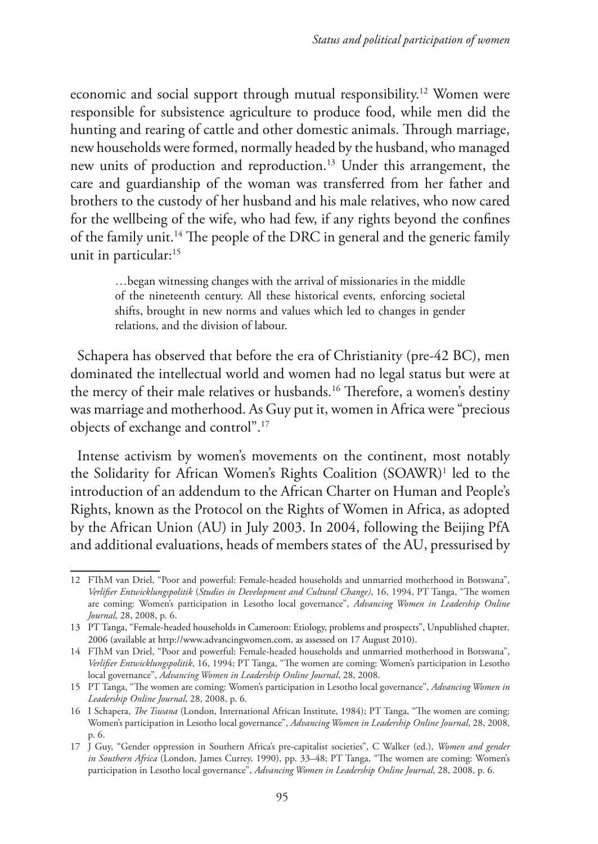economic and social support through mutual responsibility.12 Women were responsible for subsistence agriculture to produce food, while men did the hunting and rearing of cattle and other domestic animals. Through marriage, new households were formed, normally headed by the husband, who managed new units of production and reproduction.13 Under this arrangement, the care and guardianship of the woman was transferred from her father and brothers to the custody of her husband and his male relatives, who now cared for the wellbeing of the wife, who had few, if any rights beyond the confines of the family unit.14 The people of the DRC in general and the generic family unit in particular:<sup>15</sup>

> …began witnessing changes with the arrival of missionaries in the middle of the nineteenth century. All these historical events, enforcing societal shifts, brought in new norms and values which led to changes in gender relations, and the division of labour.

Schapera has observed that before the era of Christianity (pre-42 BC), men dominated the intellectual world and women had no legal status but were at the mercy of their male relatives or husbands.<sup>16</sup> Therefore, a women's destiny was marriage and motherhood. As Guy put it, women in Africa were "precious objects of exchange and control".17

Intense activism by women's movements on the continent, most notably the Solidarity for African Women's Rights Coalition (SOAWR)1 led to the introduction of an addendum to the African Charter on Human and People's Rights, known as the Protocol on the Rights of Women in Africa, as adopted by the African Union (AU) in July 2003. In 2004, following the Beijing PfA and additional evaluations, heads of members states of the AU, pressurised by

<sup>12</sup> FThM van Driel, "Poor and powerful: Female-headed households and unmarried motherhood in Botswana", *Verlifier Entwicklungspolitik* (*Studies in Development and Cultural Change)*, 16, 1994, PT Tanga, "The women are coming: Women's participation in Lesotho local governance", *Advancing Women in Leadership Online Journal*, 28, 2008, p. 6.

<sup>13</sup> PT Tanga, "Female-headed households in Cameroon: Etiology, problems and prospects", Unpublished chapter*,* 2006 (available at http://www.advancingwomen.com, as assessed on 17 August 2010).

<sup>14</sup> FThM van Driel, "Poor and powerful: Female-headed households and unmarried motherhood in Botswana", *Verlifier Entwicklungspolitik*, 16, 1994; PT Tanga, "The women are coming: Women's participation in Lesotho local governance", *Advancing Women in Leadership Online Journal*, 28, 2008.

<sup>15</sup> PT Tanga, "The women are coming: Women's participation in Lesotho local governance", *Advancing Women in Leadership Online Journal*, 28, 2008, p. 6.

<sup>16</sup> I Schapera, *The Tswana* (London, International African Institute, 1984); PT Tanga, "The women are coming: Women's participation in Lesotho local governance", *Advancing Women in Leadership Online Journal*, 28, 2008, p. 6.

<sup>17</sup> J Guy, "Gender oppression in Southern Africa's pre-capitalist societies", C Walker (ed.), *Women and gender in Southern Africa* (London, James Currey, 1990), pp. 33–48; PT Tanga, "The women are coming: Women's participation in Lesotho local governance", *Advancing Women in Leadership Online Journal*, 28, 2008, p. 6.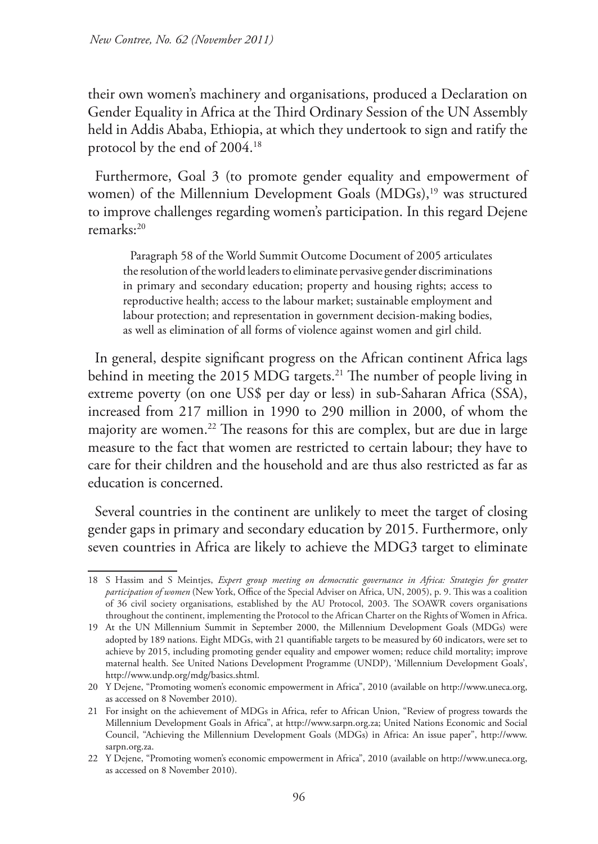their own women's machinery and organisations, produced a Declaration on Gender Equality in Africa at the Third Ordinary Session of the UN Assembly held in Addis Ababa, Ethiopia, at which they undertook to sign and ratify the protocol by the end of 2004.18

Furthermore, Goal 3 (to promote gender equality and empowerment of women) of the Millennium Development Goals (MDGs),<sup>19</sup> was structured to improve challenges regarding women's participation. In this regard Dejene remarks:20

Paragraph 58 of the World Summit Outcome Document of 2005 articulates the resolution of the world leaders to eliminate pervasive gender discriminations in primary and secondary education; property and housing rights; access to reproductive health; access to the labour market; sustainable employment and labour protection; and representation in government decision-making bodies, as well as elimination of all forms of violence against women and girl child.

In general, despite significant progress on the African continent Africa lags behind in meeting the 2015 MDG targets.<sup>21</sup> The number of people living in extreme poverty (on one US\$ per day or less) in sub-Saharan Africa (SSA), increased from 217 million in 1990 to 290 million in 2000, of whom the majority are women.<sup>22</sup> The reasons for this are complex, but are due in large measure to the fact that women are restricted to certain labour; they have to care for their children and the household and are thus also restricted as far as education is concerned.

Several countries in the continent are unlikely to meet the target of closing gender gaps in primary and secondary education by 2015. Furthermore, only seven countries in Africa are likely to achieve the MDG3 target to eliminate

<sup>18</sup> S Hassim and S Meintjes, *Expert group meeting on democratic governance in Africa: Strategies for greater participation of women* (New York, Office of the Special Adviser on Africa, UN, 2005), p. 9. This was a coalition of 36 civil society organisations, established by the AU Protocol, 2003. The SOAWR covers organisations throughout the continent, implementing the Protocol to the African Charter on the Rights of Women in Africa.

<sup>19</sup> At the UN Millennium Summit in September 2000, the Millennium Development Goals (MDGs) were adopted by 189 nations. Eight MDGs, with 21 quantifiable targets to be measured by 60 indicators, were set to achieve by 2015, including promoting gender equality and empower women; reduce child mortality; improve maternal health. See United Nations Development Programme (UNDP), 'Millennium Development Goals', http://www.undp.org/mdg/basics.shtml.

<sup>20</sup> Y Dejene, "Promoting women's economic empowerment in Africa", 2010 (available on http://www.uneca.org, as accessed on 8 November 2010).

<sup>21</sup> For insight on the achievement of MDGs in Africa, refer to African Union, "Review of progress towards the Millennium Development Goals in Africa", at http://www.sarpn.org.za; United Nations Economic and Social Council, "Achieving the Millennium Development Goals (MDGs) in Africa: An issue paper", http://www. sarpn.org.za.

<sup>22</sup> Y Dejene, "Promoting women's economic empowerment in Africa", 2010 (available on http://www.uneca.org, as accessed on 8 November 2010).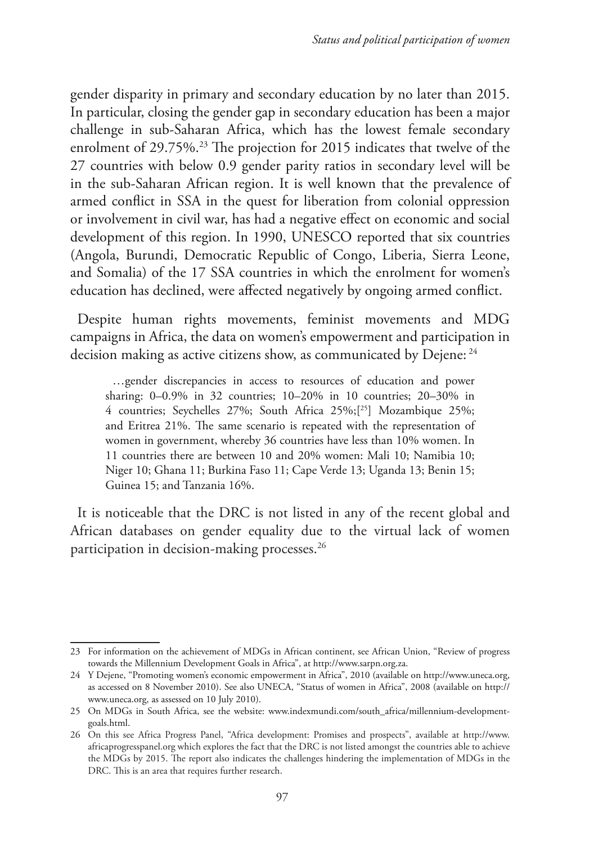gender disparity in primary and secondary education by no later than 2015. In particular, closing the gender gap in secondary education has been a major challenge in sub-Saharan Africa, which has the lowest female secondary enrolment of 29.75%.<sup>23</sup> The projection for 2015 indicates that twelve of the 27 countries with below 0.9 gender parity ratios in secondary level will be in the sub-Saharan African region. It is well known that the prevalence of armed conflict in SSA in the quest for liberation from colonial oppression or involvement in civil war, has had a negative effect on economic and social development of this region. In 1990, UNESCO reported that six countries (Angola, Burundi, Democratic Republic of Congo, Liberia, Sierra Leone, and Somalia) of the 17 SSA countries in which the enrolment for women's education has declined, were affected negatively by ongoing armed conflict.

Despite human rights movements, feminist movements and MDG campaigns in Africa, the data on women's empowerment and participation in decision making as active citizens show, as communicated by Dejene: <sup>24</sup>

…gender discrepancies in access to resources of education and power sharing: 0–0.9% in 32 countries; 10–20% in 10 countries; 20–30% in 4 countries; Seychelles 27%; South Africa 25%;[25] Mozambique 25%; and Eritrea 21%. The same scenario is repeated with the representation of women in government, whereby 36 countries have less than 10% women. In 11 countries there are between 10 and 20% women: Mali 10; Namibia 10; Niger 10; Ghana 11; Burkina Faso 11; Cape Verde 13; Uganda 13; Benin 15; Guinea 15; and Tanzania 16%.

It is noticeable that the DRC is not listed in any of the recent global and African databases on gender equality due to the virtual lack of women participation in decision-making processes.26

<sup>23</sup> For information on the achievement of MDGs in African continent, see African Union, "Review of progress towards the Millennium Development Goals in Africa", at http://www.sarpn.org.za.

<sup>24</sup> Y Dejene, "Promoting women's economic empowerment in Africa", 2010 (available on http://www.uneca.org, as accessed on 8 November 2010). See also UNECA, "Status of women in Africa", 2008 (available on http:// www.uneca.org, as assessed on 10 July 2010).

<sup>25</sup> On MDGs in South Africa, see the website: www.indexmundi.com/south\_africa/millennium-developmentgoals.html.

<sup>26</sup> On this see Africa Progress Panel, "Africa development: Promises and prospects", available at http://www. africaprogresspanel.org which explores the fact that the DRC is not listed amongst the countries able to achieve the MDGs by 2015. The report also indicates the challenges hindering the implementation of MDGs in the DRC. This is an area that requires further research.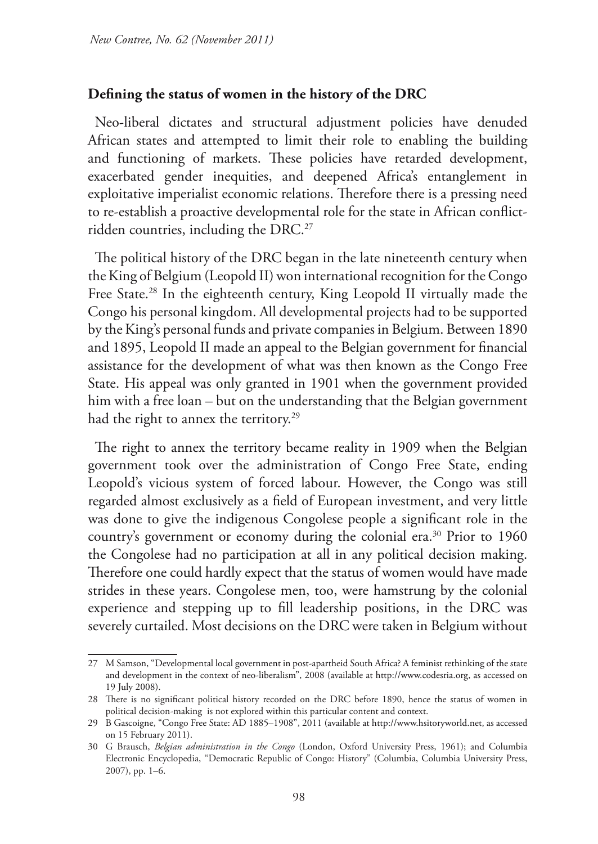#### **Defining the status of women in the history of the DRC**

Neo-liberal dictates and structural adjustment policies have denuded African states and attempted to limit their role to enabling the building and functioning of markets. These policies have retarded development, exacerbated gender inequities, and deepened Africa's entanglement in exploitative imperialist economic relations. Therefore there is a pressing need to re-establish a proactive developmental role for the state in African conflictridden countries, including the DRC.<sup>27</sup>

The political history of the DRC began in the late nineteenth century when the King of Belgium (Leopold II) won international recognition for the Congo Free State.<sup>28</sup> In the eighteenth century, King Leopold II virtually made the Congo his personal kingdom. All developmental projects had to be supported by the King's personal funds and private companies in Belgium. Between 1890 and 1895, Leopold II made an appeal to the Belgian government for financial assistance for the development of what was then known as the Congo Free State. His appeal was only granted in 1901 when the government provided him with a free loan – but on the understanding that the Belgian government had the right to annex the territory.<sup>29</sup>

The right to annex the territory became reality in 1909 when the Belgian government took over the administration of Congo Free State, ending Leopold's vicious system of forced labour. However, the Congo was still regarded almost exclusively as a field of European investment, and very little was done to give the indigenous Congolese people a significant role in the country's government or economy during the colonial era.<sup>30</sup> Prior to 1960 the Congolese had no participation at all in any political decision making. Therefore one could hardly expect that the status of women would have made strides in these years. Congolese men, too, were hamstrung by the colonial experience and stepping up to fill leadership positions, in the DRC was severely curtailed. Most decisions on the DRC were taken in Belgium without

<sup>27</sup> M Samson, "Developmental local government in post-apartheid South Africa? A feminist rethinking of the state and development in the context of neo-liberalism", 2008 (available at http://www.codesria.org, as accessed on 19 July 2008).

<sup>28</sup> There is no significant political history recorded on the DRC before 1890, hence the status of women in political decision-making is not explored within this particular content and context.

<sup>29</sup> B Gascoigne, "Congo Free State: AD 1885–1908", 2011 (available at http://www.hsitoryworld.net, as accessed on 15 February 2011).

<sup>30</sup> G Brausch, *Belgian administration in the Congo* (London, Oxford University Press, 1961); and Columbia Electronic Encyclopedia, "Democratic Republic of Congo: History" (Columbia, Columbia University Press, 2007), pp. 1–6.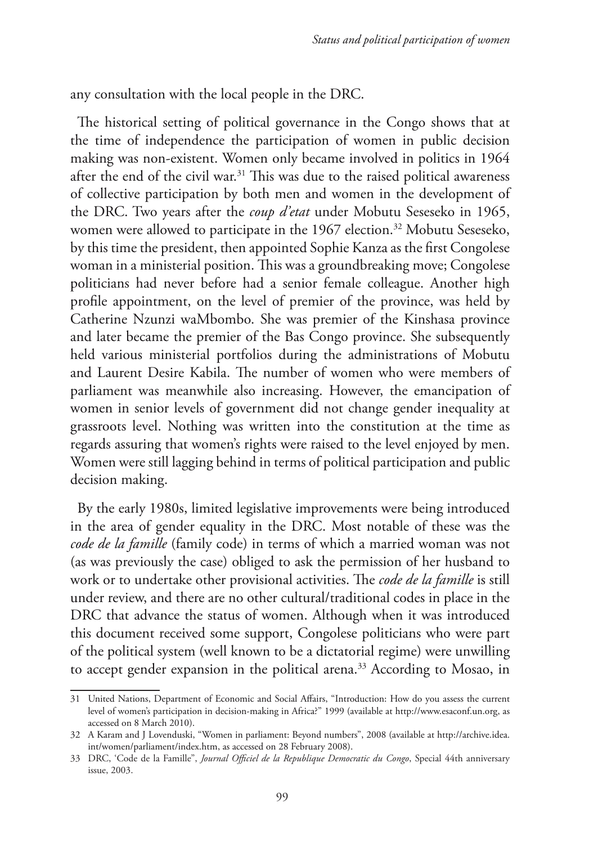any consultation with the local people in the DRC.

The historical setting of political governance in the Congo shows that at the time of independence the participation of women in public decision making was non-existent. Women only became involved in politics in 1964 after the end of the civil war. $31$  This was due to the raised political awareness of collective participation by both men and women in the development of the DRC. Two years after the *coup d'etat* under Mobutu Seseseko in 1965, women were allowed to participate in the 1967 election.<sup>32</sup> Mobutu Seseseko, by this time the president, then appointed Sophie Kanza as the first Congolese woman in a ministerial position. This was a groundbreaking move; Congolese politicians had never before had a senior female colleague. Another high profile appointment, on the level of premier of the province, was held by Catherine Nzunzi waMbombo. She was premier of the Kinshasa province and later became the premier of the Bas Congo province. She subsequently held various ministerial portfolios during the administrations of Mobutu and Laurent Desire Kabila. The number of women who were members of parliament was meanwhile also increasing. However, the emancipation of women in senior levels of government did not change gender inequality at grassroots level. Nothing was written into the constitution at the time as regards assuring that women's rights were raised to the level enjoyed by men. Women were still lagging behind in terms of political participation and public decision making.

By the early 1980s, limited legislative improvements were being introduced in the area of gender equality in the DRC. Most notable of these was the *code de la famille* (family code) in terms of which a married woman was not (as was previously the case) obliged to ask the permission of her husband to work or to undertake other provisional activities. The *code de la famille* is still under review, and there are no other cultural/traditional codes in place in the DRC that advance the status of women. Although when it was introduced this document received some support, Congolese politicians who were part of the political system (well known to be a dictatorial regime) were unwilling to accept gender expansion in the political arena.<sup>33</sup> According to Mosao, in

<sup>31</sup> United Nations, Department of Economic and Social Affairs, "Introduction: How do you assess the current level of women's participation in decision-making in Africa?" 1999 (available at http://www.esaconf.un.org, as accessed on 8 March 2010).

<sup>32</sup> A Karam and J Lovenduski, "Women in parliament: Beyond numbers", 2008 (available at http://archive.idea. int/women/parliament/index.htm, as accessed on 28 February 2008).

<sup>33</sup> DRC, 'Code de la Famille", *Journal Officiel de la Republique Democratic du Congo*, Special 44th anniversary issue, 2003.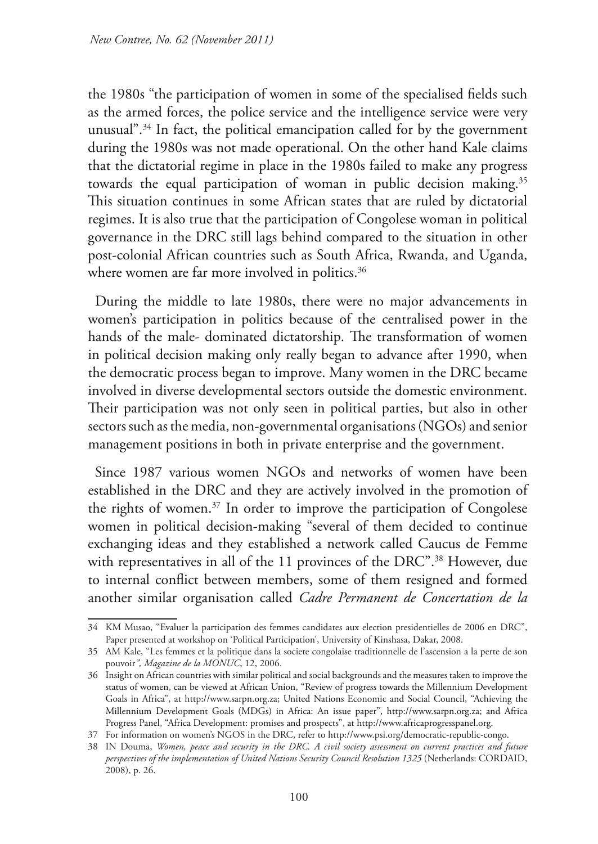the 1980s "the participation of women in some of the specialised fields such as the armed forces, the police service and the intelligence service were very unusual".34 In fact, the political emancipation called for by the government during the 1980s was not made operational. On the other hand Kale claims that the dictatorial regime in place in the 1980s failed to make any progress towards the equal participation of woman in public decision making.<sup>35</sup> This situation continues in some African states that are ruled by dictatorial regimes. It is also true that the participation of Congolese woman in political governance in the DRC still lags behind compared to the situation in other post-colonial African countries such as South Africa, Rwanda, and Uganda, where women are far more involved in politics.<sup>36</sup>

During the middle to late 1980s, there were no major advancements in women's participation in politics because of the centralised power in the hands of the male- dominated dictatorship. The transformation of women in political decision making only really began to advance after 1990, when the democratic process began to improve. Many women in the DRC became involved in diverse developmental sectors outside the domestic environment. Their participation was not only seen in political parties, but also in other sectors such as the media, non-governmental organisations (NGOs) and senior management positions in both in private enterprise and the government.

Since 1987 various women NGOs and networks of women have been established in the DRC and they are actively involved in the promotion of the rights of women.37 In order to improve the participation of Congolese women in political decision-making "several of them decided to continue exchanging ideas and they established a network called Caucus de Femme with representatives in all of the 11 provinces of the DRC".<sup>38</sup> However, due to internal conflict between members, some of them resigned and formed another similar organisation called *Cadre Permanent de Concertation de la* 

<sup>34</sup> KM Musao, "Evaluer la participation des femmes candidates aux election presidentielles de 2006 en DRC", Paper presented at workshop on 'Political Participation', University of Kinshasa, Dakar, 2008.

<sup>35</sup> AM Kale, "Les femmes et la politique dans la societe congolaise traditionnelle de l'ascension a la perte de son pouvoir*", Magazine de la MONUC*, 12, 2006.

<sup>36</sup> Insight on African countries with similar political and social backgrounds and the measures taken to improve the status of women, can be viewed at African Union, "Review of progress towards the Millennium Development Goals in Africa", at http://www.sarpn.org.za; United Nations Economic and Social Council, "Achieving the Millennium Development Goals (MDGs) in Africa: An issue paper", http://www.sarpn.org.za; and Africa Progress Panel, "Africa Development: promises and prospects", at http://www.africaprogresspanel.org.

<sup>37</sup> For information on women's NGOS in the DRC, refer to http://www.psi.org/democratic-republic-congo.

<sup>38</sup> IN Douma, *Women, peace and security in the DRC. A civil society assessment on current practices and future perspectives of the implementation of United Nations Security Council Resolution 1325* (Netherlands: CORDAID, 2008), p. 26.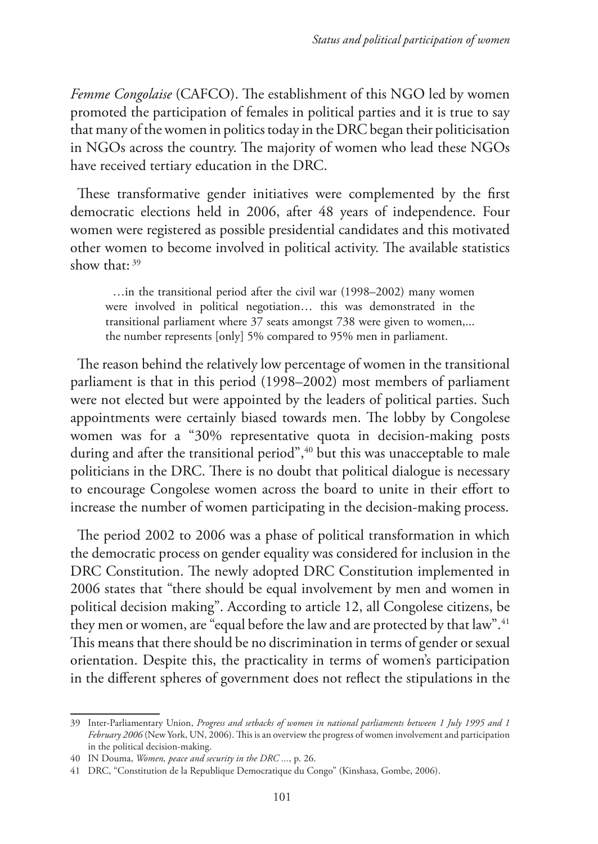*Femme Congolaise* (CAFCO). The establishment of this NGO led by women promoted the participation of females in political parties and it is true to say that many of the women in politics today in the DRC began their politicisation in NGOs across the country. The majority of women who lead these NGOs have received tertiary education in the DRC.

These transformative gender initiatives were complemented by the first democratic elections held in 2006, after 48 years of independence. Four women were registered as possible presidential candidates and this motivated other women to become involved in political activity. The available statistics show that: 39

…in the transitional period after the civil war (1998–2002) many women were involved in political negotiation… this was demonstrated in the transitional parliament where 37 seats amongst 738 were given to women,... the number represents [only] 5% compared to 95% men in parliament.

The reason behind the relatively low percentage of women in the transitional parliament is that in this period (1998–2002) most members of parliament were not elected but were appointed by the leaders of political parties. Such appointments were certainly biased towards men. The lobby by Congolese women was for a "30% representative quota in decision-making posts during and after the transitional period",<sup>40</sup> but this was unacceptable to male politicians in the DRC. There is no doubt that political dialogue is necessary to encourage Congolese women across the board to unite in their effort to increase the number of women participating in the decision-making process.

The period 2002 to 2006 was a phase of political transformation in which the democratic process on gender equality was considered for inclusion in the DRC Constitution. The newly adopted DRC Constitution implemented in 2006 states that "there should be equal involvement by men and women in political decision making". According to article 12, all Congolese citizens, be they men or women, are "equal before the law and are protected by that law".<sup>41</sup> This means that there should be no discrimination in terms of gender or sexual orientation. Despite this, the practicality in terms of women's participation in the different spheres of government does not reflect the stipulations in the

<sup>39</sup> Inter-Parliamentary Union, *Progress and setbacks of women in national parliaments between 1 July 1995 and 1 February 2006* (New York, UN, 2006). This is an overview the progress of women involvement and participation in the political decision-making.

<sup>40</sup> IN Douma, *Women, peace and security in the DRC ...*, p. 26.

<sup>41</sup> DRC, "Constitution de la Republique Democratique du Congo" (Kinshasa, Gombe, 2006).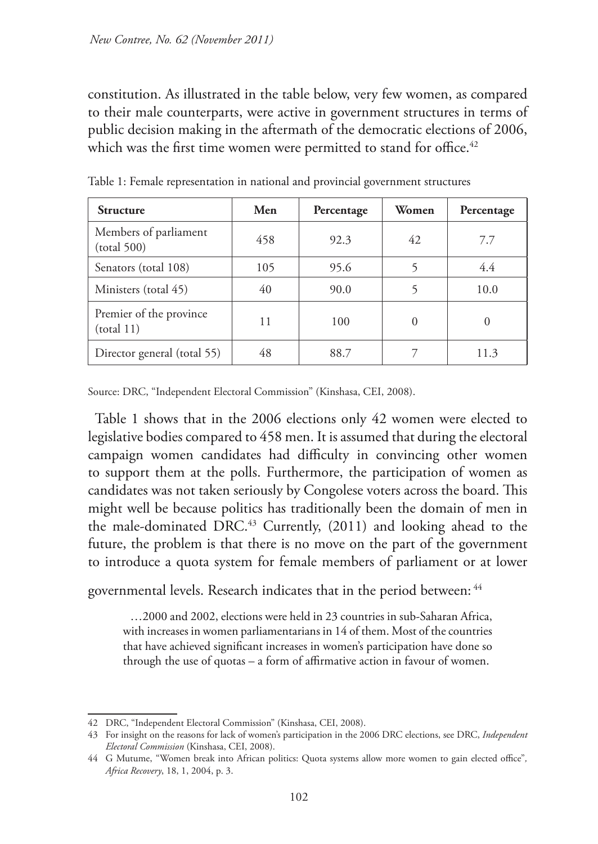constitution. As illustrated in the table below, very few women, as compared to their male counterparts, were active in government structures in terms of public decision making in the aftermath of the democratic elections of 2006, which was the first time women were permitted to stand for office.<sup>42</sup>

| <b>Structure</b>                      | Men | Percentage | Women    | Percentage |
|---------------------------------------|-----|------------|----------|------------|
| Members of parliament<br>(total 500)  | 458 | 92.3       | 42       | 7.7        |
| Senators (total 108)                  | 105 | 95.6       |          | 4.4        |
| Ministers (total 45)                  | 40  | 90.0       |          | 10.0       |
| Premier of the province<br>(total 11) | 11  | 100        | $\Omega$ | $\theta$   |
| Director general (total 55)           | 48  | 88.7       |          | 11.3       |

Table 1: Female representation in national and provincial government structures

Source: DRC, "Independent Electoral Commission" (Kinshasa, CEI, 2008).

Table 1 shows that in the 2006 elections only 42 women were elected to legislative bodies compared to 458 men. It is assumed that during the electoral campaign women candidates had difficulty in convincing other women to support them at the polls. Furthermore, the participation of women as candidates was not taken seriously by Congolese voters across the board. This might well be because politics has traditionally been the domain of men in the male-dominated DRC.<sup>43</sup> Currently, (2011) and looking ahead to the future, the problem is that there is no move on the part of the government to introduce a quota system for female members of parliament or at lower

governmental levels. Research indicates that in the period between: 44

…2000 and 2002, elections were held in 23 countries in sub-Saharan Africa, with increases in women parliamentarians in 14 of them. Most of the countries that have achieved significant increases in women's participation have done so through the use of quotas – a form of affirmative action in favour of women.

<sup>42</sup> DRC, "Independent Electoral Commission" (Kinshasa, CEI, 2008).

<sup>43</sup> For insight on the reasons for lack of women's participation in the 2006 DRC elections, see DRC, *Independent Electoral Commission* (Kinshasa, CEI, 2008).

<sup>44</sup> G Mutume, "Women break into African politics: Quota systems allow more women to gain elected office"*, Africa Recovery*, 18, 1, 2004, p. 3.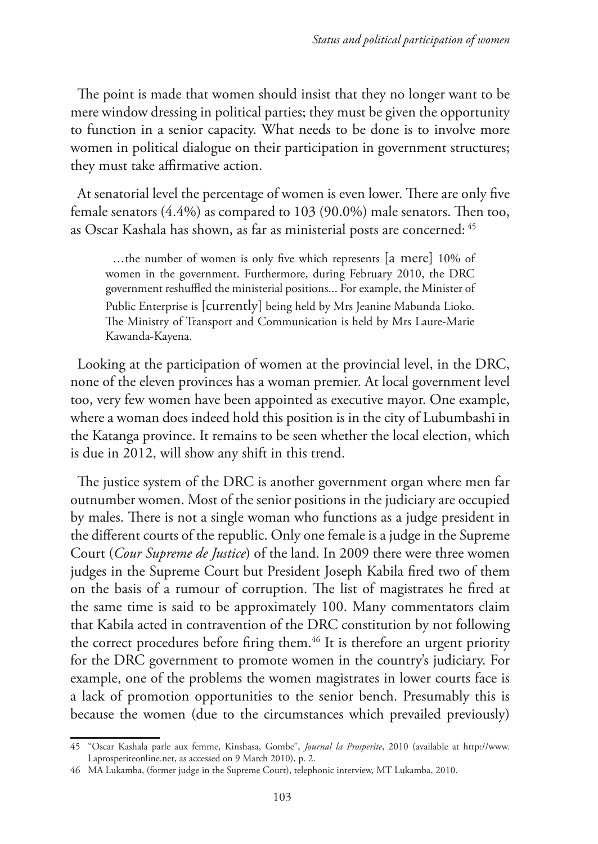The point is made that women should insist that they no longer want to be mere window dressing in political parties; they must be given the opportunity to function in a senior capacity. What needs to be done is to involve more women in political dialogue on their participation in government structures; they must take affirmative action.

At senatorial level the percentage of women is even lower. There are only five female senators (4.4%) as compared to 103 (90.0%) male senators. Then too, as Oscar Kashala has shown, as far as ministerial posts are concerned: 45

…the number of women is only five which represents [a mere] 10% of women in the government. Furthermore, during February 2010, the DRC government reshuffled the ministerial positions... For example, the Minister of Public Enterprise is [currently] being held by Mrs Jeanine Mabunda Lioko. The Ministry of Transport and Communication is held by Mrs Laure-Marie Kawanda-Kayena.

Looking at the participation of women at the provincial level, in the DRC, none of the eleven provinces has a woman premier. At local government level too, very few women have been appointed as executive mayor. One example, where a woman does indeed hold this position is in the city of Lubumbashi in the Katanga province. It remains to be seen whether the local election, which is due in 2012, will show any shift in this trend.

The justice system of the DRC is another government organ where men far outnumber women. Most of the senior positions in the judiciary are occupied by males. There is not a single woman who functions as a judge president in the different courts of the republic. Only one female is a judge in the Supreme Court (*Cour Supreme de Justice*) of the land. In 2009 there were three women judges in the Supreme Court but President Joseph Kabila fired two of them on the basis of a rumour of corruption. The list of magistrates he fired at the same time is said to be approximately 100. Many commentators claim that Kabila acted in contravention of the DRC constitution by not following the correct procedures before firing them.<sup>46</sup> It is therefore an urgent priority for the DRC government to promote women in the country's judiciary. For example, one of the problems the women magistrates in lower courts face is a lack of promotion opportunities to the senior bench. Presumably this is because the women (due to the circumstances which prevailed previously)

<sup>45</sup> "Oscar Kashala parle aux femme, Kinshasa, Gombe", *Journal la Prosperite*, 2010 (available at http://www. Laprosperiteonline.net, as accessed on 9 March 2010), p. 2.

<sup>46</sup> MA Lukamba, (former judge in the Supreme Court), telephonic interview, MT Lukamba, 2010.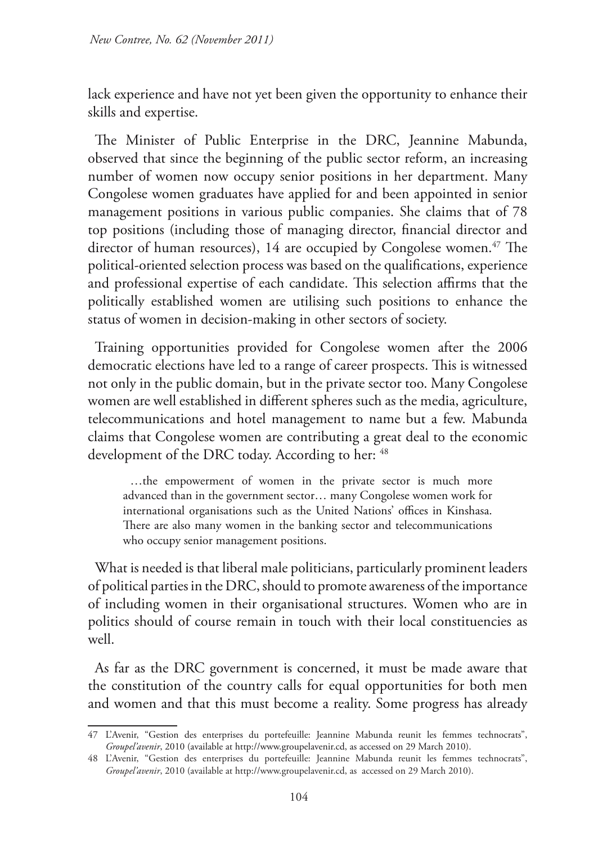lack experience and have not yet been given the opportunity to enhance their skills and expertise.

The Minister of Public Enterprise in the DRC, Jeannine Mabunda, observed that since the beginning of the public sector reform, an increasing number of women now occupy senior positions in her department. Many Congolese women graduates have applied for and been appointed in senior management positions in various public companies. She claims that of 78 top positions (including those of managing director, financial director and director of human resources), 14 are occupied by Congolese women.<sup>47</sup> The political-oriented selection process was based on the qualifications, experience and professional expertise of each candidate. This selection affirms that the politically established women are utilising such positions to enhance the status of women in decision-making in other sectors of society.

Training opportunities provided for Congolese women after the 2006 democratic elections have led to a range of career prospects. This is witnessed not only in the public domain, but in the private sector too. Many Congolese women are well established in different spheres such as the media, agriculture, telecommunications and hotel management to name but a few. Mabunda claims that Congolese women are contributing a great deal to the economic development of the DRC today. According to her:  $48$ 

…the empowerment of women in the private sector is much more advanced than in the government sector… many Congolese women work for international organisations such as the United Nations' offices in Kinshasa. There are also many women in the banking sector and telecommunications who occupy senior management positions.

What is needed is that liberal male politicians, particularly prominent leaders of political parties in the DRC, should to promote awareness of the importance of including women in their organisational structures. Women who are in politics should of course remain in touch with their local constituencies as well.

As far as the DRC government is concerned, it must be made aware that the constitution of the country calls for equal opportunities for both men and women and that this must become a reality. Some progress has already

<sup>47</sup> L'Avenir, "Gestion des enterprises du portefeuille: Jeannine Mabunda reunit les femmes technocrats", *Groupel'avenir*, 2010 (available at http://www.groupelavenir.cd, as accessed on 29 March 2010).

<sup>48</sup> L'Avenir, "Gestion des enterprises du portefeuille: Jeannine Mabunda reunit les femmes technocrats", *Groupel'avenir*, 2010 (available at http://www.groupelavenir.cd, as accessed on 29 March 2010).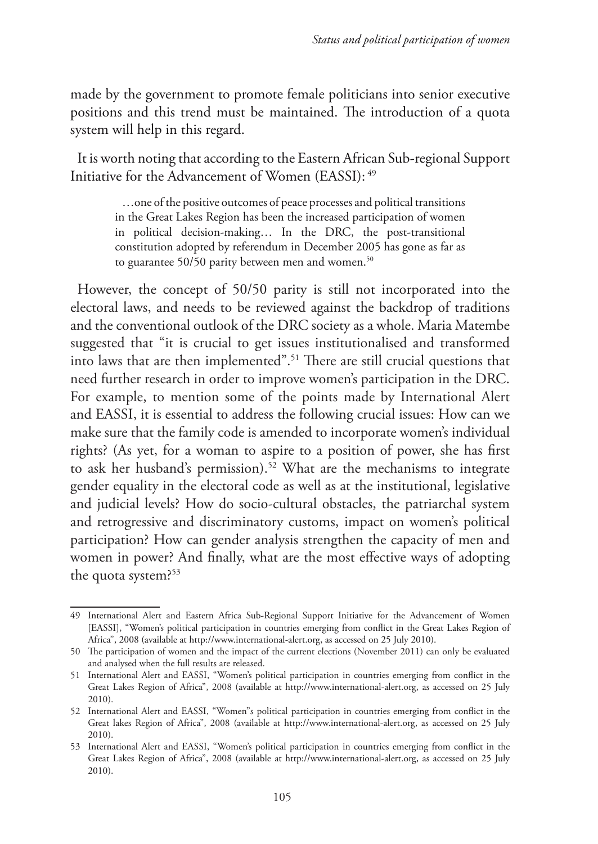made by the government to promote female politicians into senior executive positions and this trend must be maintained. The introduction of a quota system will help in this regard.

It is worth noting that according to the Eastern African Sub-regional Support Initiative for the Advancement of Women (EASSI): 49

> …one of the positive outcomes of peace processes and political transitions in the Great Lakes Region has been the increased participation of women in political decision-making… In the DRC, the post-transitional constitution adopted by referendum in December 2005 has gone as far as to guarantee  $50/50$  parity between men and women.<sup>50</sup>

However, the concept of 50/50 parity is still not incorporated into the electoral laws, and needs to be reviewed against the backdrop of traditions and the conventional outlook of the DRC society as a whole. Maria Matembe suggested that "it is crucial to get issues institutionalised and transformed into laws that are then implemented".51 There are still crucial questions that need further research in order to improve women's participation in the DRC. For example, to mention some of the points made by International Alert and EASSI, it is essential to address the following crucial issues: How can we make sure that the family code is amended to incorporate women's individual rights? (As yet, for a woman to aspire to a position of power, she has first to ask her husband's permission).<sup>52</sup> What are the mechanisms to integrate gender equality in the electoral code as well as at the institutional, legislative and judicial levels? How do socio-cultural obstacles, the patriarchal system and retrogressive and discriminatory customs, impact on women's political participation? How can gender analysis strengthen the capacity of men and women in power? And finally, what are the most effective ways of adopting the quota system?53

<sup>49</sup> International Alert and Eastern Africa Sub-Regional Support Initiative for the Advancement of Women [EASSI], "Women's political participation in countries emerging from conflict in the Great Lakes Region of Africa", 2008 (available at http://www.international-alert.org, as accessed on 25 July 2010).

<sup>50</sup> The participation of women and the impact of the current elections (November 2011) can only be evaluated and analysed when the full results are released.

<sup>51</sup> International Alert and EASSI, "Women's political participation in countries emerging from conflict in the Great Lakes Region of Africa", 2008 (available at http://www.international-alert.org, as accessed on 25 July 2010).

<sup>52</sup> International Alert and EASSI, "Women"s political participation in countries emerging from conflict in the Great lakes Region of Africa", 2008 (available at http://www.international-alert.org, as accessed on 25 July 2010).

<sup>53</sup> International Alert and EASSI, "Women's political participation in countries emerging from conflict in the Great Lakes Region of Africa", 2008 (available at http://www.international-alert.org, as accessed on 25 July 2010).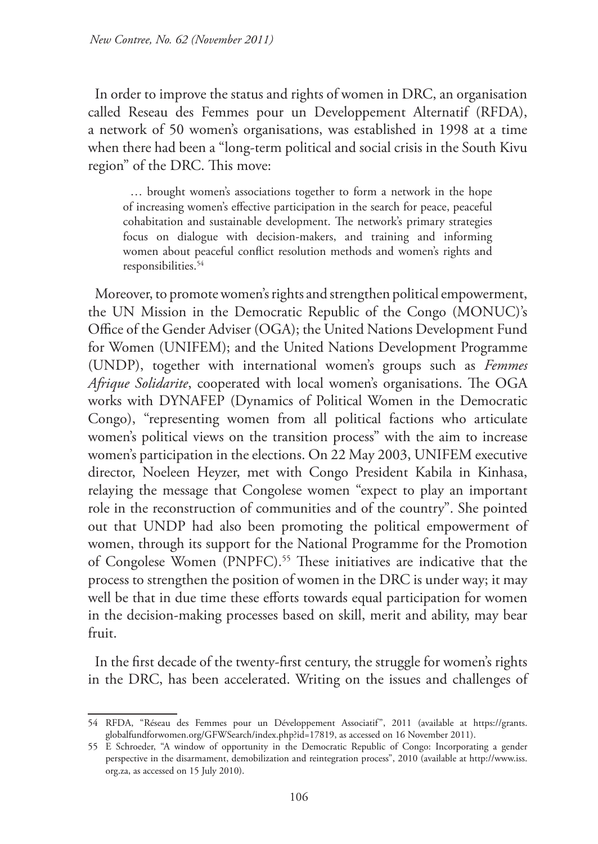In order to improve the status and rights of women in DRC, an organisation called Reseau des Femmes pour un Developpement Alternatif (RFDA), a network of 50 women's organisations, was established in 1998 at a time when there had been a "long-term political and social crisis in the South Kivu region" of the DRC. This move:

… brought women's associations together to form a network in the hope of increasing women's effective participation in the search for peace, peaceful cohabitation and sustainable development. The network's primary strategies focus on dialogue with decision-makers, and training and informing women about peaceful conflict resolution methods and women's rights and responsibilities.<sup>54</sup>

Moreover, to promote women's rights and strengthen political empowerment, the UN Mission in the Democratic Republic of the Congo (MONUC)'s Office of the Gender Adviser (OGA); the United Nations Development Fund for Women (UNIFEM); and the United Nations Development Programme (UNDP), together with international women's groups such as *Femmes Afrique Solidarite*, cooperated with local women's organisations. The OGA works with DYNAFEP (Dynamics of Political Women in the Democratic Congo), "representing women from all political factions who articulate women's political views on the transition process" with the aim to increase women's participation in the elections. On 22 May 2003, UNIFEM executive director, Noeleen Heyzer, met with Congo President Kabila in Kinhasa, relaying the message that Congolese women "expect to play an important role in the reconstruction of communities and of the country". She pointed out that UNDP had also been promoting the political empowerment of women, through its support for the National Programme for the Promotion of Congolese Women (PNPFC).<sup>55</sup> These initiatives are indicative that the process to strengthen the position of women in the DRC is under way; it may well be that in due time these efforts towards equal participation for women in the decision-making processes based on skill, merit and ability, may bear fruit.

In the first decade of the twenty-first century, the struggle for women's rights in the DRC, has been accelerated. Writing on the issues and challenges of

<sup>54</sup> RFDA, "Réseau des Femmes pour un Développement Associatif", 2011 (available at https://grants. globalfundforwomen.org/GFWSearch/index.php?id=17819, as accessed on 16 November 2011).

<sup>55</sup> E Schroeder, "A window of opportunity in the Democratic Republic of Congo: Incorporating a gender perspective in the disarmament, demobilization and reintegration process", 2010 (available at http://www.iss. org.za, as accessed on 15 July 2010).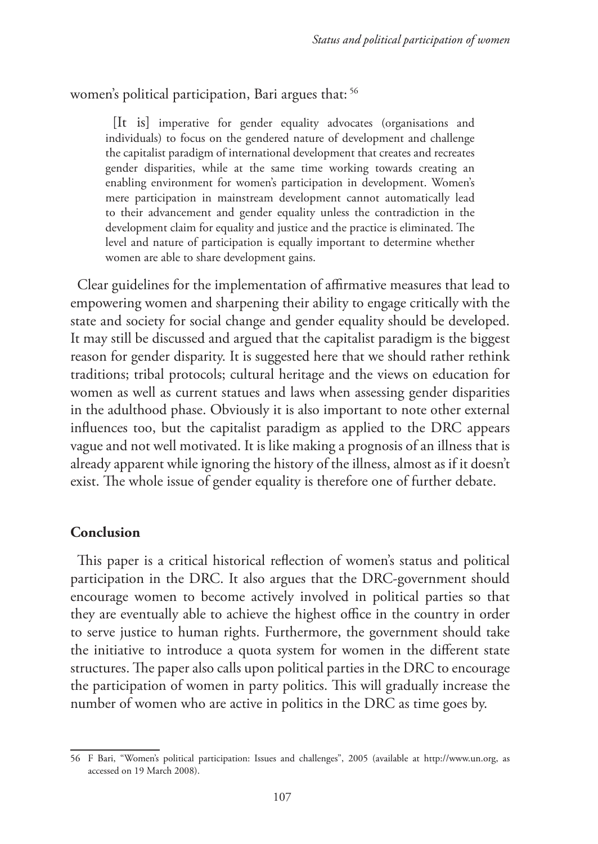women's political participation, Bari argues that: 56

[It is] imperative for gender equality advocates (organisations and individuals) to focus on the gendered nature of development and challenge the capitalist paradigm of international development that creates and recreates gender disparities, while at the same time working towards creating an enabling environment for women's participation in development. Women's mere participation in mainstream development cannot automatically lead to their advancement and gender equality unless the contradiction in the development claim for equality and justice and the practice is eliminated. The level and nature of participation is equally important to determine whether women are able to share development gains.

Clear guidelines for the implementation of affirmative measures that lead to empowering women and sharpening their ability to engage critically with the state and society for social change and gender equality should be developed. It may still be discussed and argued that the capitalist paradigm is the biggest reason for gender disparity. It is suggested here that we should rather rethink traditions; tribal protocols; cultural heritage and the views on education for women as well as current statues and laws when assessing gender disparities in the adulthood phase. Obviously it is also important to note other external influences too, but the capitalist paradigm as applied to the DRC appears vague and not well motivated. It is like making a prognosis of an illness that is already apparent while ignoring the history of the illness, almost as if it doesn't exist. The whole issue of gender equality is therefore one of further debate.

# **Conclusion**

This paper is a critical historical reflection of women's status and political participation in the DRC. It also argues that the DRC-government should encourage women to become actively involved in political parties so that they are eventually able to achieve the highest office in the country in order to serve justice to human rights. Furthermore, the government should take the initiative to introduce a quota system for women in the different state structures. The paper also calls upon political parties in the DRC to encourage the participation of women in party politics. This will gradually increase the number of women who are active in politics in the DRC as time goes by.

<sup>56</sup> F Bari, "Women's political participation: Issues and challenges", 2005 (available at http://www.un.org, as accessed on 19 March 2008).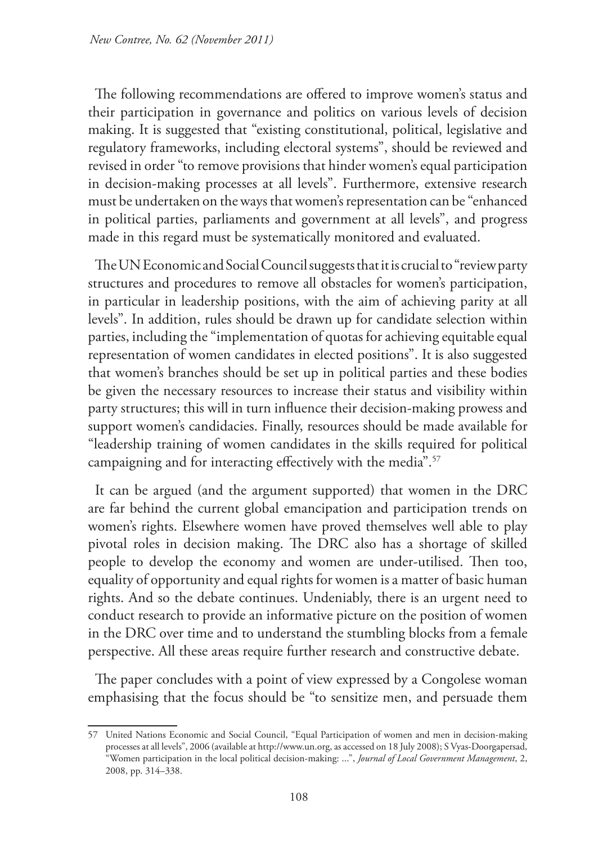The following recommendations are offered to improve women's status and their participation in governance and politics on various levels of decision making. It is suggested that "existing constitutional, political, legislative and regulatory frameworks, including electoral systems", should be reviewed and revised in order "to remove provisions that hinder women's equal participation in decision-making processes at all levels". Furthermore, extensive research must be undertaken on the ways that women's representation can be "enhanced in political parties, parliaments and government at all levels", and progress made in this regard must be systematically monitored and evaluated.

The UN Economic and Social Council suggests that it is crucial to "review party structures and procedures to remove all obstacles for women's participation, in particular in leadership positions, with the aim of achieving parity at all levels". In addition, rules should be drawn up for candidate selection within parties, including the "implementation of quotas for achieving equitable equal representation of women candidates in elected positions". It is also suggested that women's branches should be set up in political parties and these bodies be given the necessary resources to increase their status and visibility within party structures; this will in turn influence their decision-making prowess and support women's candidacies. Finally, resources should be made available for "leadership training of women candidates in the skills required for political campaigning and for interacting effectively with the media".<sup>57</sup>

It can be argued (and the argument supported) that women in the DRC are far behind the current global emancipation and participation trends on women's rights. Elsewhere women have proved themselves well able to play pivotal roles in decision making. The DRC also has a shortage of skilled people to develop the economy and women are under-utilised. Then too, equality of opportunity and equal rights for women is a matter of basic human rights. And so the debate continues. Undeniably, there is an urgent need to conduct research to provide an informative picture on the position of women in the DRC over time and to understand the stumbling blocks from a female perspective. All these areas require further research and constructive debate.

The paper concludes with a point of view expressed by a Congolese woman emphasising that the focus should be "to sensitize men, and persuade them

<sup>57</sup> United Nations Economic and Social Council, "Equal Participation of women and men in decision-making processes at all levels", 2006 (available at http://www.un.org, as accessed on 18 July 2008); S Vyas-Doorgapersad, "Women participation in the local political decision-making: ...", *Journal of Local Government Management*, 2, 2008, pp. 314–338.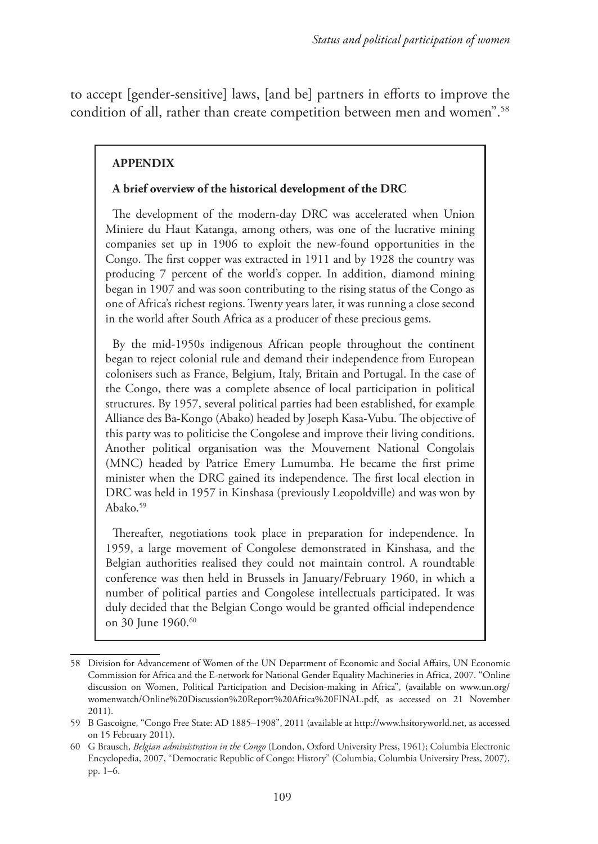to accept [gender-sensitive] laws, [and be] partners in efforts to improve the condition of all, rather than create competition between men and women".<sup>58</sup>

# **APPENDIX**

#### **A brief overview of the historical development of the DRC**

The development of the modern-day DRC was accelerated when Union Miniere du Haut Katanga, among others, was one of the lucrative mining companies set up in 1906 to exploit the new-found opportunities in the Congo. The first copper was extracted in 1911 and by 1928 the country was producing 7 percent of the world's copper. In addition, diamond mining began in 1907 and was soon contributing to the rising status of the Congo as one of Africa's richest regions. Twenty years later, it was running a close second in the world after South Africa as a producer of these precious gems.

By the mid-1950s indigenous African people throughout the continent began to reject colonial rule and demand their independence from European colonisers such as France, Belgium, Italy, Britain and Portugal. In the case of the Congo, there was a complete absence of local participation in political structures. By 1957, several political parties had been established, for example Alliance des Ba-Kongo (Abako) headed by Joseph Kasa-Vubu. The objective of this party was to politicise the Congolese and improve their living conditions. Another political organisation was the Mouvement National Congolais (MNC) headed by Patrice Emery Lumumba. He became the first prime minister when the DRC gained its independence. The first local election in DRC was held in 1957 in Kinshasa (previously Leopoldville) and was won by Abako.<sup>59</sup>

Thereafter, negotiations took place in preparation for independence. In 1959, a large movement of Congolese demonstrated in Kinshasa, and the Belgian authorities realised they could not maintain control. A roundtable conference was then held in Brussels in January/February 1960, in which a number of political parties and Congolese intellectuals participated. It was duly decided that the Belgian Congo would be granted official independence on 30 June 1960.<sup>60</sup>

<sup>58</sup> Division for Advancement of Women of the UN Department of Economic and Social Affairs, UN Economic Commission for Africa and the E-network for National Gender Equality Machineries in Africa, 2007. "Online discussion on Women, Political Participation and Decision-making in Africa", (available on www.un.org/ womenwatch/Online%20Discussion%20Report%20Africa%20FINAL.pdf, as accessed on 21 November 2011).

<sup>59</sup> B Gascoigne, "Congo Free State: AD 1885–1908", 2011 (available at http://www.hsitoryworld.net, as accessed on 15 February 2011).

<sup>60</sup> G Brausch, *Belgian administration in the Congo* (London, Oxford University Press, 1961); Columbia Electronic Encyclopedia, 2007, "Democratic Republic of Congo: History" (Columbia, Columbia University Press, 2007), pp. 1–6.